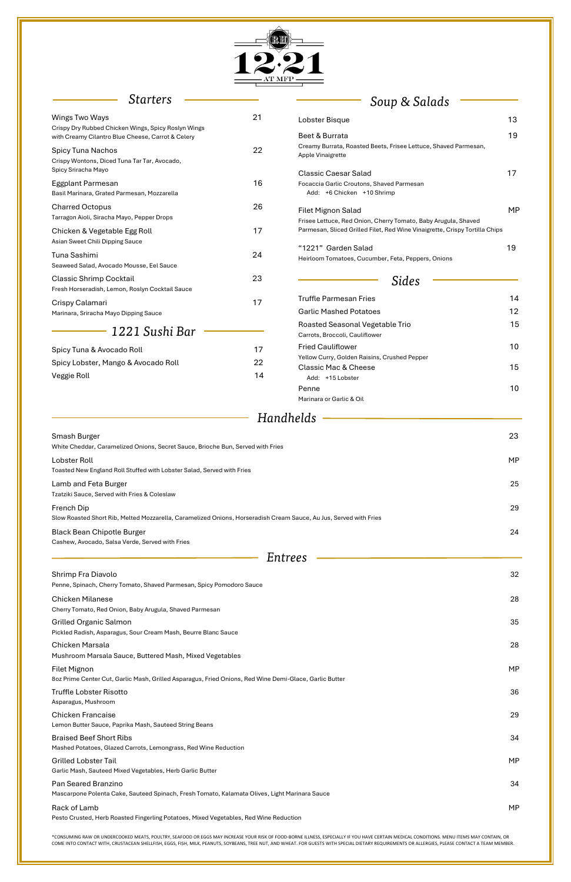\*CONSUMING RAW OR UNDERCOOKED MEATS, POULTRY, SEAFOOD OR EGGS MAY INCREASE YOUR RISK OF FOOD-BORNE ILLNESS, ESPECIALLY IF YOU HAVE CERTAIN MEDICAL CONDITIONS. MENU ITEMS MAY CONTAIN, OR COME INTO CONTACT WITH, CRUSTACEAN SHELLFISH, EGGS, FISH, MILK, PEANUTS, SOYBEANS, TREE NUT, AND WHEAT. FOR GUESTS WITH SPECIAL DIETARY REQUIREMENTS OR ALLERGIES, PLEASE CONTACT A TEAM MEMBER.



# *Starters*

| Soup & Salads |  |  |
|---------------|--|--|

| Wings Two Ways                                                                                                                  | 21 | Lobster Bisque                                                                                                                                | 13        |
|---------------------------------------------------------------------------------------------------------------------------------|----|-----------------------------------------------------------------------------------------------------------------------------------------------|-----------|
| Crispy Dry Rubbed Chicken Wings, Spicy Roslyn Wings<br>with Creamy Cilantro Blue Cheese, Carrot & Celery                        |    | Beet & Burrata                                                                                                                                | 19        |
| <b>Spicy Tuna Nachos</b><br>Crispy Wontons, Diced Tuna Tar Tar, Avocado,                                                        | 22 | Creamy Burrata, Roasted Beets, Frisee Lettuce, Shaved Parmesan,<br>Apple Vinaigrette                                                          |           |
| Spicy Sriracha Mayo                                                                                                             |    | <b>Classic Caesar Salad</b>                                                                                                                   | 17        |
| Eggplant Parmesan<br>Basil Marinara, Grated Parmesan, Mozzarella                                                                | 16 | Focaccia Garlic Croutons, Shaved Parmesan<br>Add: +6 Chicken +10 Shrimp                                                                       |           |
| <b>Charred Octopus</b><br>Tarragon Aioli, Siracha Mayo, Pepper Drops                                                            | 26 | <b>Filet Mignon Salad</b>                                                                                                                     | <b>MP</b> |
| Chicken & Vegetable Egg Roll<br>Asian Sweet Chili Dipping Sauce                                                                 | 17 | Frisee Lettuce, Red Onion, Cherry Tomato, Baby Arugula, Shaved<br>Parmesan, Sliced Grilled Filet, Red Wine Vinaigrette, Crispy Tortilla Chips |           |
| Tuna Sashimi<br>Seaweed Salad, Avocado Mousse, Eel Sauce                                                                        | 24 | "1221" Garden Salad<br>Heirloom Tomatoes, Cucumber, Feta, Peppers, Onions                                                                     | 19        |
| <b>Classic Shrimp Cocktail</b><br>Fresh Horseradish, Lemon, Roslyn Cocktail Sauce                                               | 23 | Sides                                                                                                                                         |           |
| Crispy Calamari                                                                                                                 | 17 | <b>Truffle Parmesan Fries</b>                                                                                                                 | 14        |
| Marinara, Sriracha Mayo Dipping Sauce                                                                                           |    | <b>Garlic Mashed Potatoes</b>                                                                                                                 | 12        |
| 1221 Sushi Bar                                                                                                                  |    | Roasted Seasonal Vegetable Trio<br>Carrots, Broccoli, Cauliflower                                                                             | 15        |
| Spicy Tuna & Avocado Roll                                                                                                       | 17 | <b>Fried Cauliflower</b>                                                                                                                      | 10        |
| Spicy Lobster, Mango & Avocado Roll                                                                                             | 22 | Yellow Curry, Golden Raisins, Crushed Pepper                                                                                                  |           |
| Veggie Roll                                                                                                                     | 14 | <b>Classic Mac &amp; Cheese</b><br>Add: +15 Lobster                                                                                           | 15        |
|                                                                                                                                 |    | Penne<br>Marinara or Garlic & Oil                                                                                                             | 10        |
|                                                                                                                                 |    | Handhelds                                                                                                                                     |           |
| Smash Burger                                                                                                                    |    |                                                                                                                                               | 23        |
| White Cheddar, Caramelized Onions, Secret Sauce, Brioche Bun, Served with Fries                                                 |    |                                                                                                                                               |           |
| Lobster Roll<br>Toasted New England Roll Stuffed with Lobster Salad, Served with Fries                                          |    |                                                                                                                                               | <b>MP</b> |
| Lamb and Feta Burger<br>Tzatziki Sauce, Served with Fries & Coleslaw                                                            |    |                                                                                                                                               | 25        |
| French Dip<br>Slow Roasted Short Rib, Melted Mozzarella, Caramelized Onions, Horseradish Cream Sauce, Au Jus, Served with Fries |    |                                                                                                                                               | 29        |
| <b>Black Bean Chipotle Burger</b><br>Cashew, Avocado, Salsa Verde, Served with Fries                                            |    |                                                                                                                                               | 24        |
|                                                                                                                                 |    | Entrees                                                                                                                                       |           |
| Shrimp Fra Diavolo                                                                                                              |    |                                                                                                                                               | 32        |
| Penne, Spinach, Cherry Tomato, Shaved Parmesan, Spicy Pomodoro Sauce                                                            |    |                                                                                                                                               |           |
| <b>Chicken Milanese</b><br>Cherry Tomato, Red Onion, Baby Arugula, Shaved Parmesan                                              |    |                                                                                                                                               | 28        |

Pickled Radish, Asparagus, Sour Cream Mash, Beurre Blanc Sauce

Chicken Marsala 28

| Mushroom Marsala Sauce, Buttered Mash, Mixed Vegetables                                                                       |           |
|-------------------------------------------------------------------------------------------------------------------------------|-----------|
| <b>Filet Mignon</b><br>8oz Prime Center Cut, Garlic Mash, Grilled Asparagus, Fried Onions, Red Wine Demi-Glace, Garlic Butter | MP.       |
| Truffle Lobster Risotto<br>Asparagus, Mushroom                                                                                | 36        |
| <b>Chicken Francaise</b><br>Lemon Butter Sauce, Paprika Mash, Sauteed String Beans                                            | 29        |
| <b>Braised Beef Short Ribs</b><br>Mashed Potatoes, Glazed Carrots, Lemongrass, Red Wine Reduction                             | 34        |
| <b>Grilled Lobster Tail</b><br>Garlic Mash, Sauteed Mixed Vegetables, Herb Garlic Butter                                      | <b>MP</b> |
| Pan Seared Branzino<br>Mascarpone Polenta Cake, Sauteed Spinach, Fresh Tomato, Kalamata Olives, Light Marinara Sauce          | 34        |
| Rack of Lamb<br>Pesto Crusted, Herb Roasted Fingerling Potatoes, Mixed Vegetables, Red Wine Reduction                         | MP.       |

Grilled Organic Salmon 35